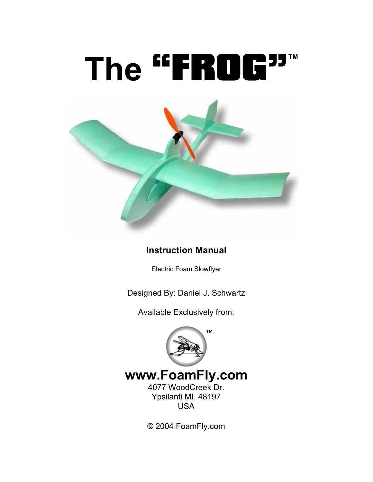# The "FROG"



# **Instruction Manual**

Electric Foam Slowflyer

Designed By: Daniel J. Schwartz

Available Exclusively from:



# **www.FoamFly.com**

4077 WoodCreek Dr. Ypsilanti MI. 48197 USA

© 2004 FoamFly.com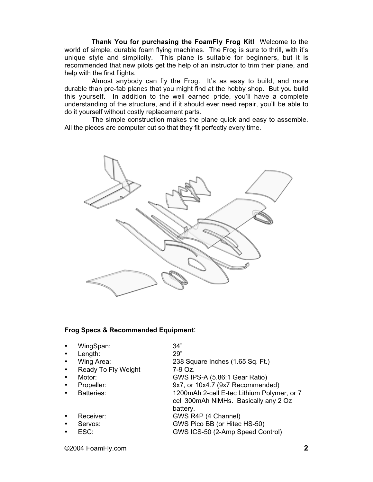**Thank You for purchasing the FoamFly Frog Kit!** Welcome to the world of simple, durable foam flying machines. The Frog is sure to thrill, with it's unique style and simplicity. This plane is suitable for beginners, but it is recommended that new pilots get the help of an instructor to trim their plane, and help with the first flights.

Almost anybody can fly the Frog. It's as easy to build, and more durable than pre-fab planes that you might find at the hobby shop. But you build this yourself. In addition to the well earned pride, you'll have a complete understanding of the structure, and if it should ever need repair, you'll be able to do it yourself without costly replacement parts.

The simple construction makes the plane quick and easy to assemble. All the pieces are computer cut so that they fit perfectly every time.



#### **Frog Specs & Recommended Equipment**:

- WingSpan: 34"
- Length: 29"
	- Wing Area: 238 Square Inches (1.65 Sq. Ft.)
- Ready To Fly Weight 7-9 Oz.
- 
- 
- 

• Motor: GWS IPS-A (5.86:1 Gear Ratio) • Propeller: 9x7, or 10x4.7 (9x7 Recommended) • Batteries: 1200mAh 2-cell E-tec Lithium Polymer, or 7

cell 300mAh NiMHs. Basically any 2 Oz

- - **Receiver:** GWS R4P (4 Channel)
- Servos: GWS Pico BB (or Hitec HS-50)

battery.

• ESC: GWS ICS-50 (2-Amp Speed Control)

©2004 FoamFly.com **2**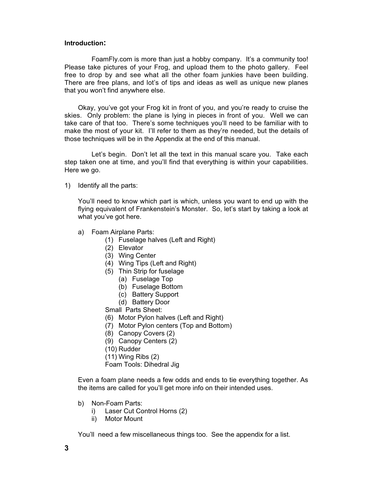#### **Introduction:**

FoamFly.com is more than just a hobby company. It's a community too! Please take pictures of your Frog, and upload them to the photo gallery. Feel free to drop by and see what all the other foam junkies have been building. There are free plans, and lot's of tips and ideas as well as unique new planes that you won't find anywhere else.

Okay, you've got your Frog kit in front of you, and you're ready to cruise the skies. Only problem: the plane is lying in pieces in front of you. Well we can take care of that too. There's some techniques you'll need to be familiar with to make the most of your kit. I'll refer to them as they're needed, but the details of those techniques will be in the Appendix at the end of this manual.

Let's begin. Don't let all the text in this manual scare you. Take each step taken one at time, and you'll find that everything is within your capabilities. Here we go.

1) Identify all the parts:

You'll need to know which part is which, unless you want to end up with the flying equivalent of Frankenstein's Monster. So, let's start by taking a look at what you've got here.

- a) Foam Airplane Parts:
	- (1) Fuselage halves (Left and Right)
	- (2) Elevator
	- (3) Wing Center
	- (4) Wing Tips (Left and Right)
	- (5) Thin Strip for fuselage
		- (a) Fuselage Top
		- (b) Fuselage Bottom
		- (c) Battery Support
		- (d) Battery Door

Small Parts Sheet:

- (6) Motor Pylon halves (Left and Right)
- (7) Motor Pylon centers (Top and Bottom)
- (8) Canopy Covers (2)
- (9) Canopy Centers (2)
- (10) Rudder
- (11) Wing Ribs (2)

Foam Tools: Dihedral Jig

Even a foam plane needs a few odds and ends to tie everything together. As the items are called for you'll get more info on their intended uses.

- b) Non-Foam Parts:
	- i) Laser Cut Control Horns (2)
	- ii) Motor Mount

You'll need a few miscellaneous things too. See the appendix for a list.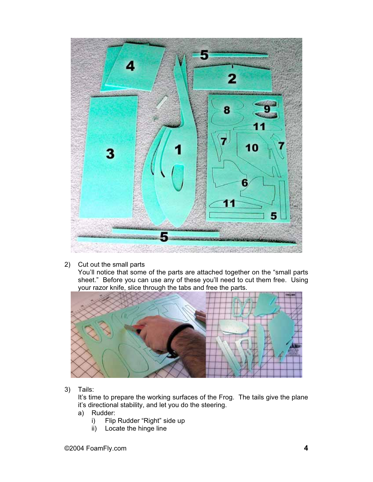

2) Cut out the small parts

You'll notice that some of the parts are attached together on the "small parts" sheet." Before you can use any of these you'll need to cut them free. Using your razor knife, slice through the tabs and free the parts.



3) Tails:

It's time to prepare the working surfaces of the Frog. The tails give the plane it's directional stability, and let you do the steering.

- a) Rudder:
	- i) Flip Rudder "Right" side up<br>ii) Locate the hinge line
	- Locate the hinge line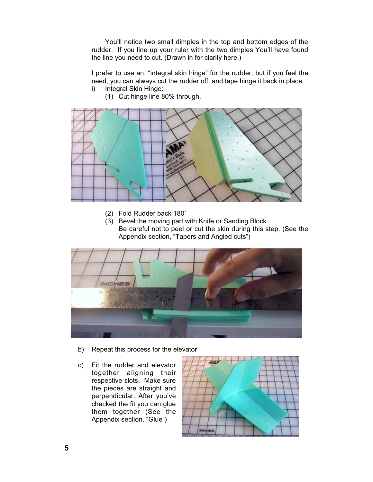You'll notice two small dimples in the top and bottom edges of the rudder. If you line up your ruler with the two dimples You'll have found the line you need to cut. (Drawn in for clarity here.)

I prefer to use an, "integral skin hinge" for the rudder, but if you feel the need, you can always cut the rudder off, and tape hinge it back in place.

- i) Integral Skin Hinge:
	- (1) Cut hinge line 80% through.



- (2) Fold Rudder back 180˚
- (3) Bevel the moving part with Knife or Sanding Block Be careful not to peel or cut the skin during this step. (See the Appendix section, "Tapers and Angled cuts")



- b) Repeat this process for the elevator
- c) Fit the rudder and elevator together aligning their respective slots. Make sure the pieces are straight and perpendicular. After you've checked the fit you can glue them together (See the Appendix section, "Glue")

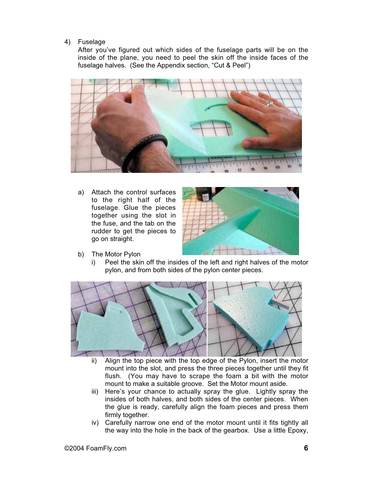4) Fuselage

After you've figured out which sides of the fuselage parts will be on the inside of the plane, you need to peel the skin off the inside faces of the fuselage halves. (See the Appendix section, "Cut & Peel")



a) Attach the control surfaces to the right half of the fuselage. Glue the pieces together using the slot in the fuse, and the tab on the rudder to get the pieces to go on straight.



- b) The Motor Pylon
	- i) Peel the skin off the insides of the left and right halves of the motor pylon, and from both sides of the pylon center pieces.



- ii) Align the top piece with the top edge of the Pylon, insert the motor mount into the slot, and press the three pieces together until they fit flush. (You may have to scrape the foam a bit with the motor mount to make a suitable groove. Set the Motor mount aside.
- iii) Here's your chance to actually spray the glue. Lightly spray the insides of both halves, and both sides of the center pieces. When the glue is ready, carefully align the foam pieces and press them firmly together.
- iv) Carefully narrow one end of the motor mount until it fits tightly all the way into the hole in the back of the gearbox. Use a little Epoxy,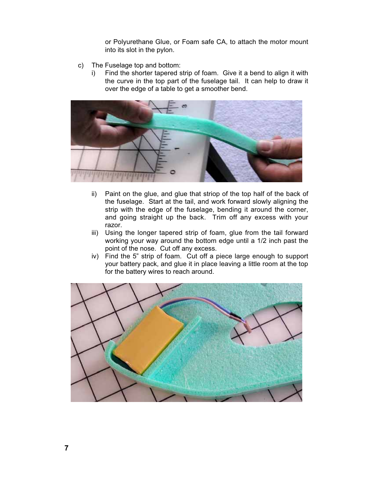or Polyurethane Glue, or Foam safe CA, to attach the motor mount into its slot in the pylon.

- c) The Fuselage top and bottom:
	- i) Find the shorter tapered strip of foam. Give it a bend to align it with the curve in the top part of the fuselage tail. It can help to draw it over the edge of a table to get a smoother bend.



- ii) Paint on the glue, and glue that striop of the top half of the back of the fuselage. Start at the tail, and work forward slowly aligning the strip with the edge of the fuselage, bending it around the corner, and going straight up the back. Trim off any excess with your razor.
- iii) Using the longer tapered strip of foam, glue from the tail forward working your way around the bottom edge until a 1/2 inch past the point of the nose. Cut off any excess.
- iv) Find the 5" strip of foam. Cut off a piece large enough to support your battery pack, and glue it in place leaving a little room at the top for the battery wires to reach around.

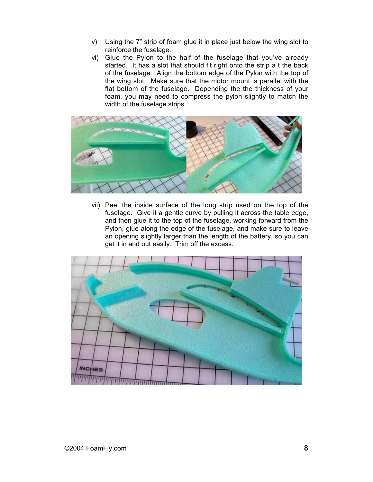- v) Using the 7" strip of foam glue it in place just below the wing slot to reinforce the fuselage.
- vi) Glue the Pylon to the half of the fuselage that you've already started. It has a slot that should fit right onto the strip a t the back of the fuselage. Align the bottom edge of the Pylon with the top of the wing slot. Make sure that the motor mount is parallel with the flat bottom of the fuselage. Depending the the thickness of your foam, you may need to compress the pylon slightly to match the width of the fuselage strips.



vii) Peel the inside surface of the long strip used on the top of the fuselage. Give it a gentle curve by pulling it across the table edge, and then glue it to the top of the fuselage, working forward from the Pylon, glue along the edge of the fuselage, and make sure to leave an opening slightly larger than the length of the battery, so you can get it in and out easily. Trim off the excess.

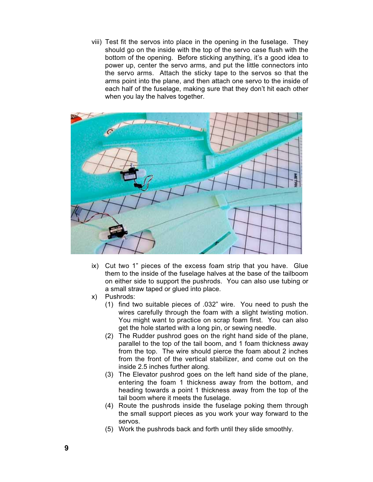viii) Test fit the servos into place in the opening in the fuselage. They should go on the inside with the top of the servo case flush with the bottom of the opening. Before sticking anything, it's a good idea to power up, center the servo arms, and put the little connectors into the servo arms. Attach the sticky tape to the servos so that the arms point into the plane, and then attach one servo to the inside of each half of the fuselage, making sure that they don't hit each other when you lay the halves together.



- ix) Cut two 1" pieces of the excess foam strip that you have. Glue them to the inside of the fuselage halves at the base of the tailboom on either side to support the pushrods. You can also use tubing or a small straw taped or glued into place.
- x) Pushrods:
	- (1) find two suitable pieces of .032" wire. You need to push the wires carefully through the foam with a slight twisting motion. You might want to practice on scrap foam first. You can also get the hole started with a long pin, or sewing needle.
	- (2) The Rudder pushrod goes on the right hand side of the plane, parallel to the top of the tail boom, and 1 foam thickness away from the top. The wire should pierce the foam about 2 inches from the front of the vertical stabilizer, and come out on the inside 2.5 inches further along.
	- (3) The Elevator pushrod goes on the left hand side of the plane, entering the foam 1 thickness away from the bottom, and heading towards a point 1 thickness away from the top of the tail boom where it meets the fuselage.
	- (4) Route the pushrods inside the fuselage poking them through the small support pieces as you work your way forward to the servos.
	- (5) Work the pushrods back and forth until they slide smoothly.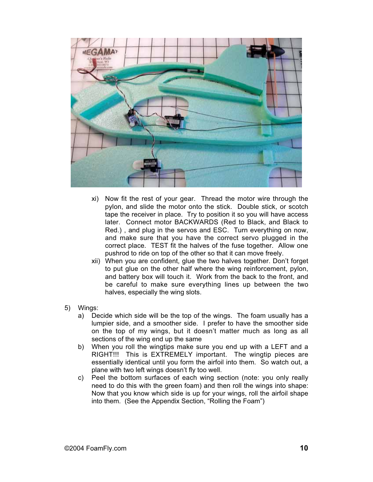

- xi) Now fit the rest of your gear. Thread the motor wire through the pylon, and slide the motor onto the stick. Double stick, or scotch tape the receiver in place. Try to position it so you will have access later. Connect motor BACKWARDS (Red to Black, and Black to Red.) , and plug in the servos and ESC. Turn everything on now, and make sure that you have the correct servo plugged in the correct place. TEST fit the halves of the fuse together. Allow one pushrod to ride on top of the other so that it can move freely.
- xii) When you are confident, glue the two halves together. Don't forget to put glue on the other half where the wing reinforcement, pylon, and battery box will touch it. Work from the back to the front, and be careful to make sure everything lines up between the two halves, especially the wing slots.
- 5) Wings:
	- a) Decide which side will be the top of the wings. The foam usually has a lumpier side, and a smoother side. I prefer to have the smoother side on the top of my wings, but it doesn't matter much as long as all sections of the wing end up the same
	- b) When you roll the wingtips make sure you end up with a LEFT and a RIGHT!!! This is EXTREMELY important. The wingtip pieces are essentially identical until you form the airfoil into them. So watch out, a plane with two left wings doesn't fly too well.
	- c) Peel the bottom surfaces of each wing section (note: you only really need to do this with the green foam) and then roll the wings into shape: Now that you know which side is up for your wings, roll the airfoil shape into them. (See the Appendix Section, "Rolling the Foam")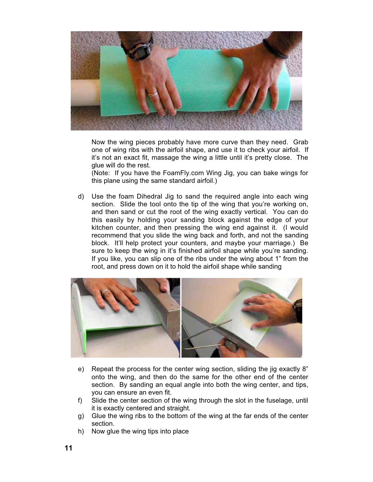

Now the wing pieces probably have more curve than they need. Grab one of wing ribs with the airfoil shape, and use it to check your airfoil. If it's not an exact fit, massage the wing a little until it's pretty close. The glue will do the rest.

(Note: If you have the FoamFly.com Wing Jig, you can bake wings for this plane using the same standard airfoil.)

d) Use the foam Dihedral Jig to sand the required angle into each wing section. Slide the tool onto the tip of the wing that you're working on, and then sand or cut the root of the wing exactly vertical. You can do this easily by holding your sanding block against the edge of your kitchen counter, and then pressing the wing end against it. (I would recommend that you slide the wing back and forth, and not the sanding block. It'll help protect your counters, and maybe your marriage.) Be sure to keep the wing in it's finished airfoil shape while you're sanding. If you like, you can slip one of the ribs under the wing about 1" from the root, and press down on it to hold the airfoil shape while sanding



- e) Repeat the process for the center wing section, sliding the jig exactly 8" onto the wing, and then do the same for the other end of the center section. By sanding an equal angle into both the wing center, and tips, you can ensure an even fit.
- f) Slide the center section of the wing through the slot in the fuselage, until it is exactly centered and straight.
- g) Glue the wing ribs to the bottom of the wing at the far ends of the center section.
- h) Now glue the wing tips into place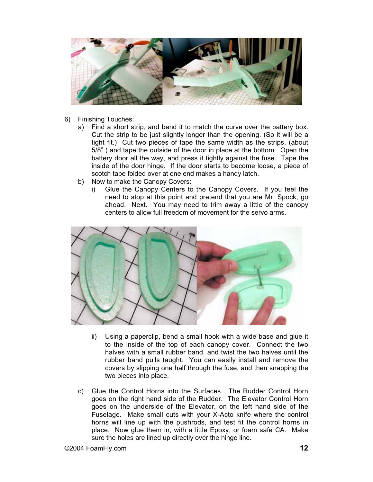

- 6) Finishing Touches:
	- a) Find a short strip, and bend it to match the curve over the battery box. Cut the strip to be just slightly longer than the opening. (So it will be a tight fit.) Cut two pieces of tape the same width as the strips, (about 5/8" ) and tape the outside of the door in place at the bottom. Open the battery door all the way, and press it tightly against the fuse. Tape the inside of the door hinge. If the door starts to become loose, a piece of scotch tape folded over at one end makes a handy latch.
	- b) Now to make the Canopy Covers:
		- i) Glue the Canopy Centers to the Canopy Covers. If you feel the need to stop at this point and pretend that you are Mr. Spock, go ahead. Next. You may need to trim away a little of the canopy centers to allow full freedom of movement for the servo arms.



- ii) Using a paperclip, bend a small hook with a wide base and glue it to the inside of the top of each canopy cover. Connect the two halves with a small rubber band, and twist the two halves until the rubber band pulls taught. You can easily install and remove the covers by slipping one half through the fuse, and then snapping the two pieces into place.
- c) Glue the Control Horns into the Surfaces. The Rudder Control Horn goes on the right hand side of the Rudder. The Elevator Control Horn goes on the underside of the Elevator, on the left hand side of the Fuselage. Make small cuts with your X-Acto knife where the control horns will line up with the pushrods, and test fit the control horns in place. Now glue them in, with a little Epoxy, or foam safe CA. Make sure the holes are lined up directly over the hinge line.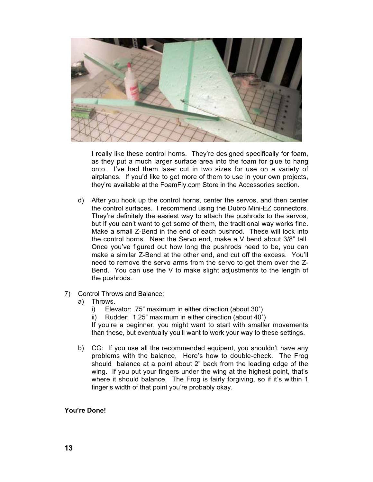

I really like these control horns. They're designed specifically for foam, as they put a much larger surface area into the foam for glue to hang onto. I've had them laser cut in two sizes for use on a variety of airplanes. If you'd like to get more of them to use in your own projects, they're available at the FoamFly.com Store in the Accessories section.

- d) After you hook up the control horns, center the servos, and then center the control surfaces. I recommend using the Dubro Mini-EZ connectors. They're definitely the easiest way to attach the pushrods to the servos, but if you can't want to get some of them, the traditional way works fine. Make a small Z-Bend in the end of each pushrod. These will lock into the control horns. Near the Servo end, make a V bend about 3/8" tall. Once you've figured out how long the pushrods need to be, you can make a similar Z-Bend at the other end, and cut off the excess. You'll need to remove the servo arms from the servo to get them over the Z-Bend. You can use the V to make slight adjustments to the length of the pushrods.
- 7) Control Throws and Balance:

#### a) Throws.

- i) Elevator: .75" maximum in either direction (about 30˚)
- ii) Rudder: 1.25" maximum in either direction (about 40˚)

If you're a beginner, you might want to start with smaller movements than these, but eventually you'll want to work your way to these settings.

b) CG: If you use all the recommended equipent, you shouldn't have any problems with the balance, Here's how to double-check. The Frog should balance at a point about 2" back from the leading edge of the wing. If you put your fingers under the wing at the highest point, that's where it should balance. The Frog is fairly forgiving, so if it's within 1 finger's width of that point you're probably okay.

#### **You're Done!**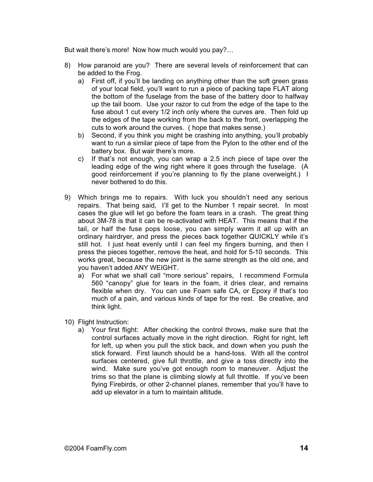But wait there's more! Now how much would you pay?…

- 8) How paranoid are you? There are several levels of reinforcement that can be added to the Frog.
	- a) First off, if you'll be landing on anything other than the soft green grass of your local field, you'll want to run a piece of packing tape FLAT along the bottom of the fuselage from the base of the battery door to halfway up the tail boom. Use your razor to cut from the edge of the tape to the fuse about 1 cut every 1/2 inch only where the curves are. Then fold up the edges of the tape working from the back to the front, overlapping the cuts to work around the curves. ( hope that makes sense.)
	- b) Second, if you think you might be crashing into anything, you'll probably want to run a similar piece of tape from the Pylon to the other end of the battery box. But wair there's more.
	- c) If that's not enough, you can wrap a 2.5 inch piece of tape over the leading edge of the wing right where it goes through the fuselage. (A good reinforcement if you're planning to fly the plane overweight.) I never bothered to do this.
- 9) Which brings me to repairs. With luck you shouldn't need any serious repairs. That being said, I'll get to the Number 1 repair secret. In most cases the glue will let go before the foam tears in a crash. The great thing about 3M-78 is that it can be re-activated with HEAT. This means that if the tail, or half the fuse pops loose, you can simply warm it all up with an ordinary hairdryer, and press the pieces back together QUICKLY while it's still hot. I just heat evenly until I can feel my fingers burning, and then I press the pieces together, remove the heat, and hold for 5-10 seconds. This works great, because the new joint is the same strength as the old one, and you haven't added ANY WEIGHT.
	- a) For what we shall call "more serious" repairs, I recommend Formula 560 "canopy" glue for tears in the foam, it dries clear, and remains flexible when dry. You can use Foam safe CA, or Epoxy if that's too much of a pain, and various kinds of tape for the rest. Be creative, and think light.
- 10) Flight Instruction:
	- a) Your first flight: After checking the control throws, make sure that the control surfaces actually move in the right direction. Right for right, left for left, up when you pull the stick back, and down when you push the stick forward. First launch should be a hand-toss. With all the control surfaces centered, give full throttle, and give a toss directly into the wind. Make sure you've got enough room to maneuver. Adjust the trims so that the plane is climbing slowly at full throttle. If you've been flying Firebirds, or other 2-channel planes, remember that you'll have to add up elevator in a turn to maintain altitude.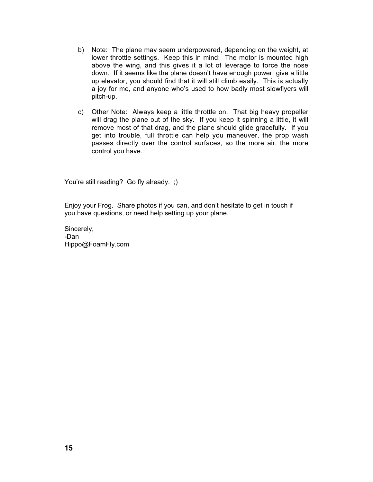- b) Note: The plane may seem underpowered, depending on the weight, at lower throttle settings. Keep this in mind: The motor is mounted high above the wing, and this gives it a lot of leverage to force the nose down. If it seems like the plane doesn't have enough power, give a little up elevator, you should find that it will still climb easily. This is actually a joy for me, and anyone who's used to how badly most slowflyers will pitch-up.
- c) Other Note: Always keep a little throttle on. That big heavy propeller will drag the plane out of the sky. If you keep it spinning a little, it will remove most of that drag, and the plane should glide gracefully. If you get into trouble, full throttle can help you maneuver, the prop wash passes directly over the control surfaces, so the more air, the more control you have.

You're still reading? Go fly already. ;)

Enjoy your Frog. Share photos if you can, and don't hesitate to get in touch if you have questions, or need help setting up your plane.

Sincerely, -Dan Hippo@FoamFly.com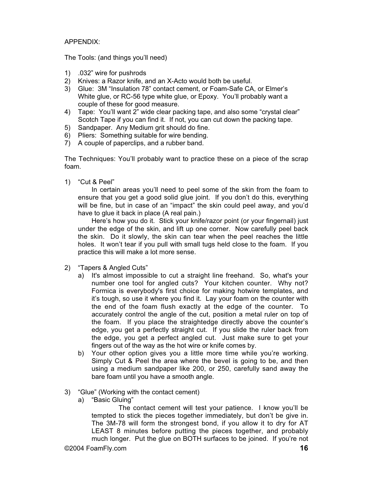#### APPENDIX:

The Tools: (and things you'll need)

- 1) .032" wire for pushrods
- 2) Knives: a Razor knife, and an X-Acto would both be useful.
- 3) Glue: 3M "Insulation 78" contact cement, or Foam-Safe CA, or Elmer's White glue, or RC-56 type white glue, or Epoxy. You'll probably want a couple of these for good measure.
- 4) Tape: You'll want 2" wide clear packing tape, and also some "crystal clear" Scotch Tape if you can find it. If not, you can cut down the packing tape.
- 5) Sandpaper. Any Medium grit should do fine.
- 6) Pliers: Something suitable for wire bending.
- 7) A couple of paperclips, and a rubber band.

The Techniques: You'll probably want to practice these on a piece of the scrap foam.

1) "Cut & Peel"

In certain areas you'll need to peel some of the skin from the foam to ensure that you get a good solid glue joint. If you don't do this, everything will be fine, but in case of an "impact" the skin could peel away, and you'd have to glue it back in place (A real pain.)

Here's how you do it. Stick your knife/razor point (or your fingernail) just under the edge of the skin, and lift up one corner. Now carefully peel back the skin. Do it slowly, the skin can tear when the peel reaches the little holes. It won't tear if you pull with small tugs held close to the foam. If you practice this will make a lot more sense.

- 2) "Tapers & Angled Cuts"
	- a) It's almost impossible to cut a straight line freehand. So, what's your number one tool for angled cuts? Your kitchen counter. Why not? Formica is everybody's first choice for making hotwire templates, and it's tough, so use it where you find it. Lay your foam on the counter with the end of the foam flush exactly at the edge of the counter. To accurately control the angle of the cut, position a metal ruler on top of the foam. If you place the straightedge directly above the counter's edge, you get a perfectly straight cut. If you slide the ruler back from the edge, you get a perfect angled cut. Just make sure to get your fingers out of the way as the hot wire or knife comes by.
	- b) Your other option gives you a little more time while you're working. Simply Cut & Peel the area where the bevel is going to be, and then using a medium sandpaper like 200, or 250, carefully sand away the bare foam until you have a smooth angle.
- 3) "Glue" (Working with the contact cement)
	- a) "Basic Gluing"

The contact cement will test your patience. I know you'll be tempted to stick the pieces together immediately, but don't be give in. The 3M-78 will form the strongest bond, if you allow it to dry for AT LEAST 8 minutes before putting the pieces together, and probably much longer. Put the glue on BOTH surfaces to be joined. If you're not

©2004 FoamFly.com **16**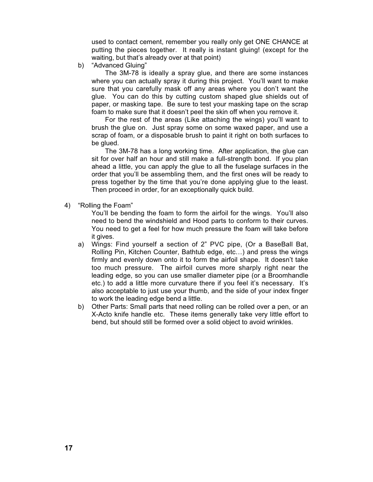used to contact cement, remember you really only get ONE CHANCE at putting the pieces together. It really is instant gluing! (except for the waiting, but that's already over at that point)

b) "Advanced Gluing"

The 3M-78 is ideally a spray glue, and there are some instances where you can actually spray it during this project. You'll want to make sure that you carefully mask off any areas where you don't want the glue. You can do this by cutting custom shaped glue shields out of paper, or masking tape. Be sure to test your masking tape on the scrap foam to make sure that it doesn't peel the skin off when you remove it.

For the rest of the areas (Like attaching the wings) you'll want to brush the glue on. Just spray some on some waxed paper, and use a scrap of foam, or a disposable brush to paint it right on both surfaces to be glued.

The 3M-78 has a long working time. After application, the glue can sit for over half an hour and still make a full-strength bond. If you plan ahead a little, you can apply the glue to all the fuselage surfaces in the order that you'll be assembling them, and the first ones will be ready to press together by the time that you're done applying glue to the least. Then proceed in order, for an exceptionally quick build.

4) "Rolling the Foam"

You'll be bending the foam to form the airfoil for the wings. You'll also need to bend the windshield and Hood parts to conform to their curves. You need to get a feel for how much pressure the foam will take before it gives.

- a) Wings: Find yourself a section of 2" PVC pipe, (Or a BaseBall Bat, Rolling Pin, Kitchen Counter, Bathtub edge, etc…) and press the wings firmly and evenly down onto it to form the airfoil shape. It doesn't take too much pressure. The airfoil curves more sharply right near the leading edge, so you can use smaller diameter pipe (or a Broomhandle etc.) to add a little more curvature there if you feel it's necessary. It's also acceptable to just use your thumb, and the side of your index finger to work the leading edge bend a little.
- b) Other Parts: Small parts that need rolling can be rolled over a pen, or an X-Acto knife handle etc. These items generally take very little effort to bend, but should still be formed over a solid object to avoid wrinkles.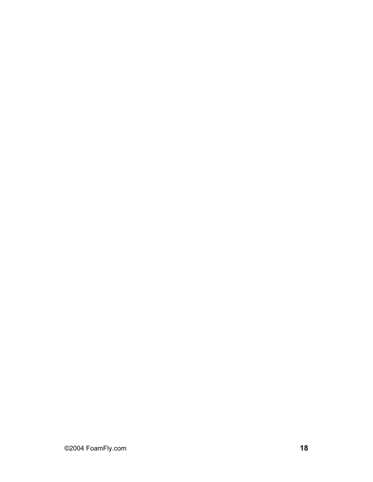©2004 FoamFly.com **18**